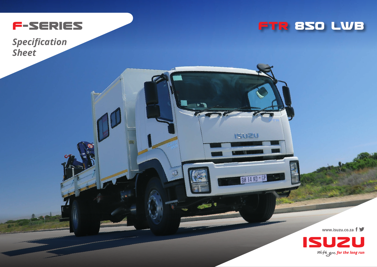

*Specification Sheet*



**USUZU** 

BH 14 KD GP

T

**www.isuzu.co.za**